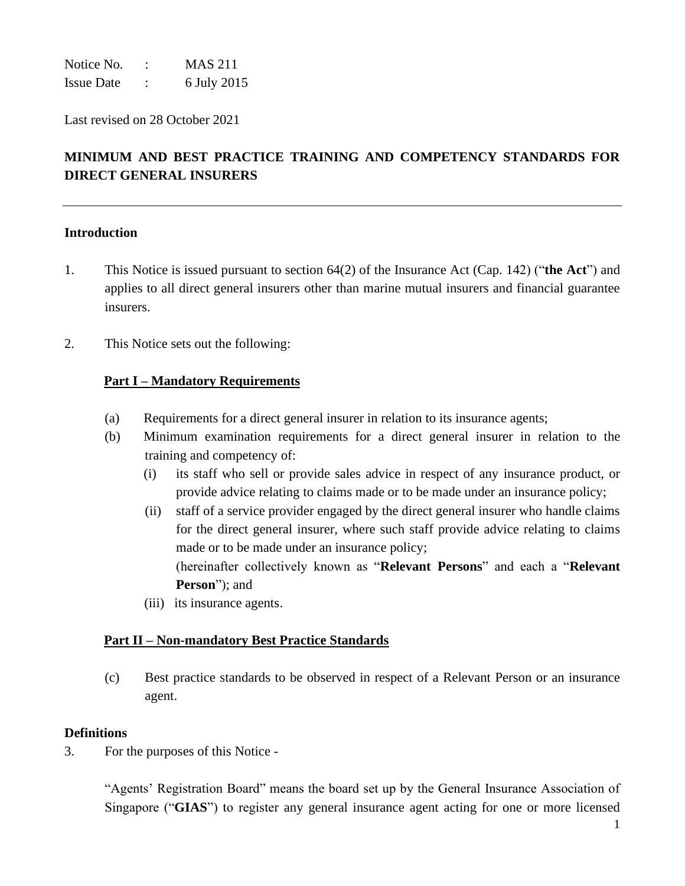Notice No. : MAS 211 Issue Date : 6 July 2015

Last revised on 28 October 2021

# **MINIMUM AND BEST PRACTICE TRAINING AND COMPETENCY STANDARDS FOR DIRECT GENERAL INSURERS**

## **Introduction**

- 1. This Notice is issued pursuant to section 64(2) of the Insurance Act (Cap. 142) ("**the Act**") and applies to all direct general insurers other than marine mutual insurers and financial guarantee insurers.
- 2. This Notice sets out the following:

## **Part I – Mandatory Requirements**

- (a) Requirements for a direct general insurer in relation to its insurance agents;
- (b) Minimum examination requirements for a direct general insurer in relation to the training and competency of:
	- (i) its staff who sell or provide sales advice in respect of any insurance product, or provide advice relating to claims made or to be made under an insurance policy;
	- (ii) staff of a service provider engaged by the direct general insurer who handle claims for the direct general insurer, where such staff provide advice relating to claims made or to be made under an insurance policy; (hereinafter collectively known as "**Relevant Persons**" and each a "**Relevant Person**"); and
	- (iii) its insurance agents.

## **Part II – Non-mandatory Best Practice Standards**

(c) Best practice standards to be observed in respect of a Relevant Person or an insurance agent.

#### **Definitions**

3. For the purposes of this Notice -

"Agents' Registration Board" means the board set up by the General Insurance Association of Singapore ("**GIAS**") to register any general insurance agent acting for one or more licensed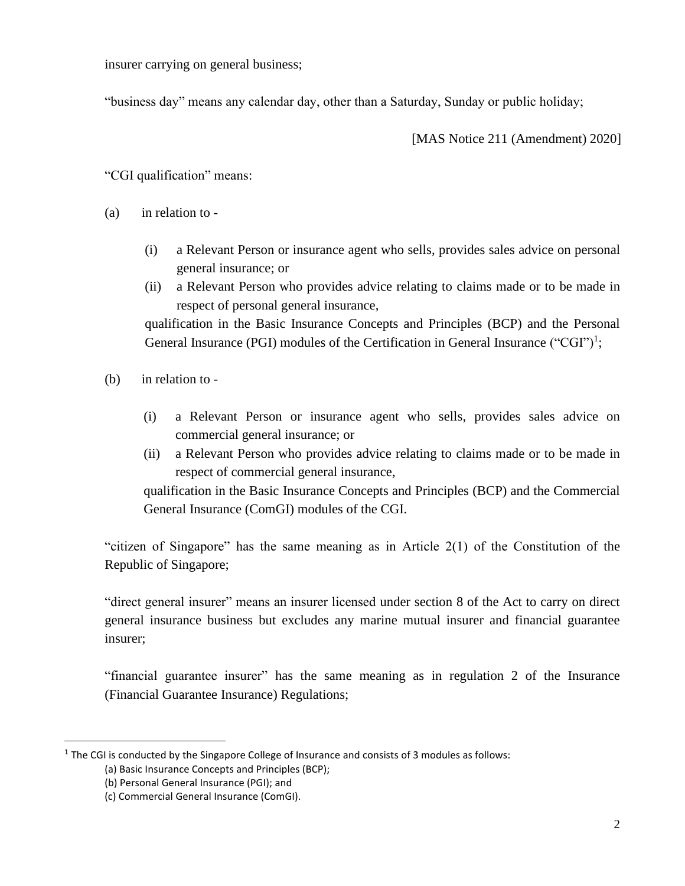insurer carrying on general business;

"business day" means any calendar day, other than a Saturday, Sunday or public holiday;

[MAS Notice 211 (Amendment) 2020]

"CGI qualification" means:

- (a) in relation to
	- (i) a Relevant Person or insurance agent who sells, provides sales advice on personal general insurance; or
	- (ii) a Relevant Person who provides advice relating to claims made or to be made in respect of personal general insurance,

qualification in the Basic Insurance Concepts and Principles (BCP) and the Personal General Insurance (PGI) modules of the Certification in General Insurance ("CGI")<sup>1</sup>;

- (b) in relation to
	- (i) a Relevant Person or insurance agent who sells, provides sales advice on commercial general insurance; or
	- (ii) a Relevant Person who provides advice relating to claims made or to be made in respect of commercial general insurance,

qualification in the Basic Insurance Concepts and Principles (BCP) and the Commercial General Insurance (ComGI) modules of the CGI.

"citizen of Singapore" has the same meaning as in Article 2(1) of the Constitution of the Republic of Singapore;

"direct general insurer" means an insurer licensed under section 8 of the Act to carry on direct general insurance business but excludes any marine mutual insurer and financial guarantee insurer;

"financial guarantee insurer" has the same meaning as in regulation 2 of the Insurance (Financial Guarantee Insurance) Regulations;

 $<sup>1</sup>$  The CGI is conducted by the Singapore College of Insurance and consists of 3 modules as follows:</sup>

<sup>(</sup>a) Basic Insurance Concepts and Principles (BCP);

<sup>(</sup>b) Personal General Insurance (PGI); and

<sup>(</sup>c) Commercial General Insurance (ComGI).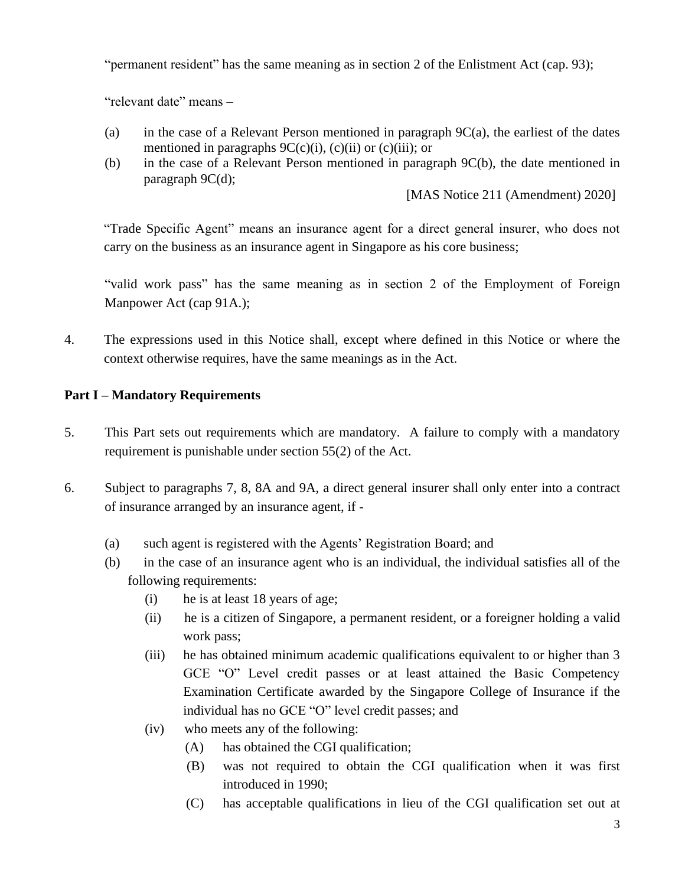"permanent resident" has the same meaning as in section 2 of the Enlistment Act (cap. 93);

"relevant date" means –

- (a) in the case of a Relevant Person mentioned in paragraph  $9C(a)$ , the earliest of the dates mentioned in paragraphs  $9C(c)(i)$ ,  $(c)(ii)$  or  $(c)(iii)$ ; or
- (b) in the case of a Relevant Person mentioned in paragraph 9C(b), the date mentioned in paragraph 9C(d);

[MAS Notice 211 (Amendment) 2020]

"Trade Specific Agent" means an insurance agent for a direct general insurer, who does not carry on the business as an insurance agent in Singapore as his core business;

"valid work pass" has the same meaning as in section 2 of the Employment of Foreign Manpower Act (cap 91A.);

4. The expressions used in this Notice shall, except where defined in this Notice or where the context otherwise requires, have the same meanings as in the Act.

## **Part I – Mandatory Requirements**

- 5. This Part sets out requirements which are mandatory. A failure to comply with a mandatory requirement is punishable under section 55(2) of the Act.
- 6. Subject to paragraphs 7, 8, 8A and 9A, a direct general insurer shall only enter into a contract of insurance arranged by an insurance agent, if -
	- (a) such agent is registered with the Agents' Registration Board; and
	- (b)in the case of an insurance agent who is an individual, the individual satisfies all of the following requirements:
		- (i) he is at least 18 years of age;
		- (ii) he is a citizen of Singapore, a permanent resident, or a foreigner holding a valid work pass;
		- (iii) he has obtained minimum academic qualifications equivalent to or higher than 3 GCE "O" Level credit passes or at least attained the Basic Competency Examination Certificate awarded by the Singapore College of Insurance if the individual has no GCE "O" level credit passes; and
		- (iv) who meets any of the following:
			- (A) has obtained the CGI qualification;
			- (B) was not required to obtain the CGI qualification when it was first introduced in 1990;
			- (C) has acceptable qualifications in lieu of the CGI qualification set out at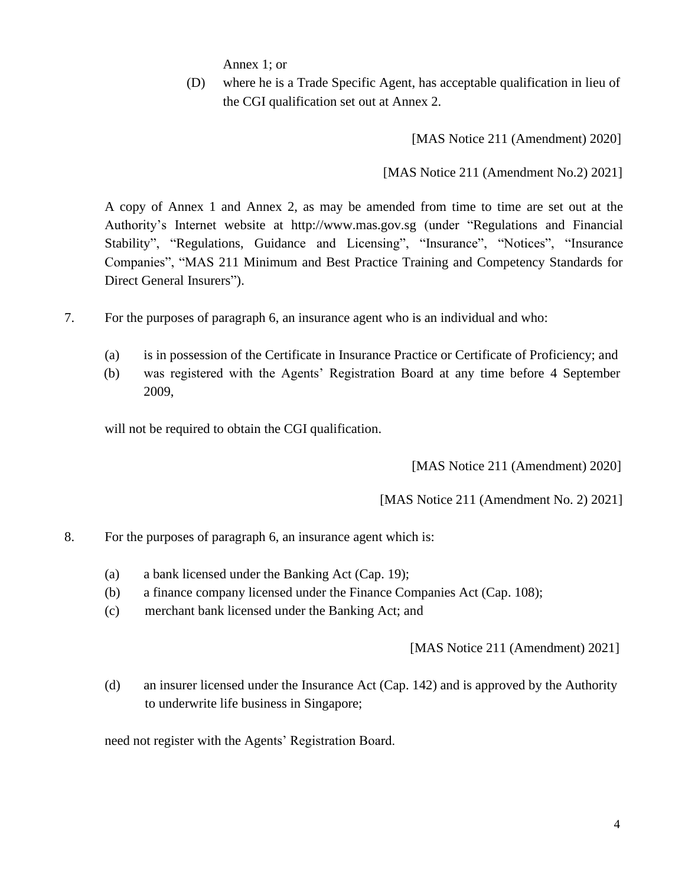Annex 1; or

(D) where he is a Trade Specific Agent, has acceptable qualification in lieu of the CGI qualification set out at Annex 2.

[MAS Notice 211 (Amendment) 2020]

[MAS Notice 211 (Amendment No.2) 2021]

A copy of Annex 1 and Annex 2, as may be amended from time to time are set out at the Authority's Internet website at http://www.mas.gov.sg (under "Regulations and Financial Stability", "Regulations, Guidance and Licensing", "Insurance", "Notices", "Insurance Companies", "MAS 211 Minimum and Best Practice Training and Competency Standards for Direct General Insurers").

- 7. For the purposes of paragraph 6, an insurance agent who is an individual and who:
	- (a) is in possession of the Certificate in Insurance Practice or Certificate of Proficiency; and
	- (b) was registered with the Agents' Registration Board at any time before 4 September 2009,

will not be required to obtain the CGI qualification.

[MAS Notice 211 (Amendment) 2020]

[MAS Notice 211 (Amendment No. 2) 2021]

- 8. For the purposes of paragraph 6, an insurance agent which is:
	- (a) a bank licensed under the Banking Act (Cap. 19);
	- (b) a finance company licensed under the Finance Companies Act (Cap. 108);
	- (c) merchant bank licensed under the Banking Act; and

[MAS Notice 211 (Amendment) 2021]

(d) an insurer licensed under the Insurance Act (Cap. 142) and is approved by the Authority to underwrite life business in Singapore;

need not register with the Agents' Registration Board.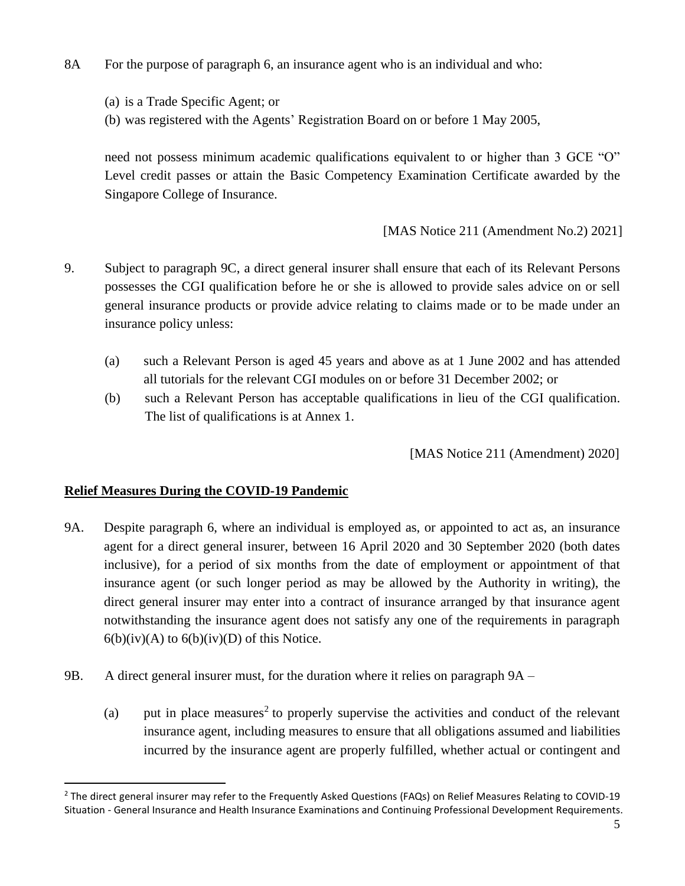- 8A For the purpose of paragraph 6, an insurance agent who is an individual and who:
	- (a) is a Trade Specific Agent; or
	- (b) was registered with the Agents' Registration Board on or before 1 May 2005,

need not possess minimum academic qualifications equivalent to or higher than 3 GCE "O" Level credit passes or attain the Basic Competency Examination Certificate awarded by the Singapore College of Insurance.

[MAS Notice 211 (Amendment No.2) 2021]

- 9. Subject to paragraph 9C, a direct general insurer shall ensure that each of its Relevant Persons possesses the CGI qualification before he or she is allowed to provide sales advice on or sell general insurance products or provide advice relating to claims made or to be made under an insurance policy unless:
	- (a) such a Relevant Person is aged 45 years and above as at 1 June 2002 and has attended all tutorials for the relevant CGI modules on or before 31 December 2002; or
	- (b) such a Relevant Person has acceptable qualifications in lieu of the CGI qualification. The list of qualifications is at Annex 1.

[MAS Notice 211 (Amendment) 2020]

## **Relief Measures During the COVID-19 Pandemic**

- 9A. Despite paragraph 6, where an individual is employed as, or appointed to act as, an insurance agent for a direct general insurer, between 16 April 2020 and 30 September 2020 (both dates inclusive), for a period of six months from the date of employment or appointment of that insurance agent (or such longer period as may be allowed by the Authority in writing), the direct general insurer may enter into a contract of insurance arranged by that insurance agent notwithstanding the insurance agent does not satisfy any one of the requirements in paragraph  $6(b)(iv)(A)$  to  $6(b)(iv)(D)$  of this Notice.
- 9B. A direct general insurer must, for the duration where it relies on paragraph 9A
	- (a) put in place measures<sup>2</sup> to properly supervise the activities and conduct of the relevant insurance agent, including measures to ensure that all obligations assumed and liabilities incurred by the insurance agent are properly fulfilled, whether actual or contingent and

<sup>&</sup>lt;sup>2</sup> The direct general insurer may refer to the Frequently Asked Questions (FAQs) on Relief Measures Relating to COVID-19 Situation - General Insurance and Health Insurance Examinations and Continuing Professional Development Requirements.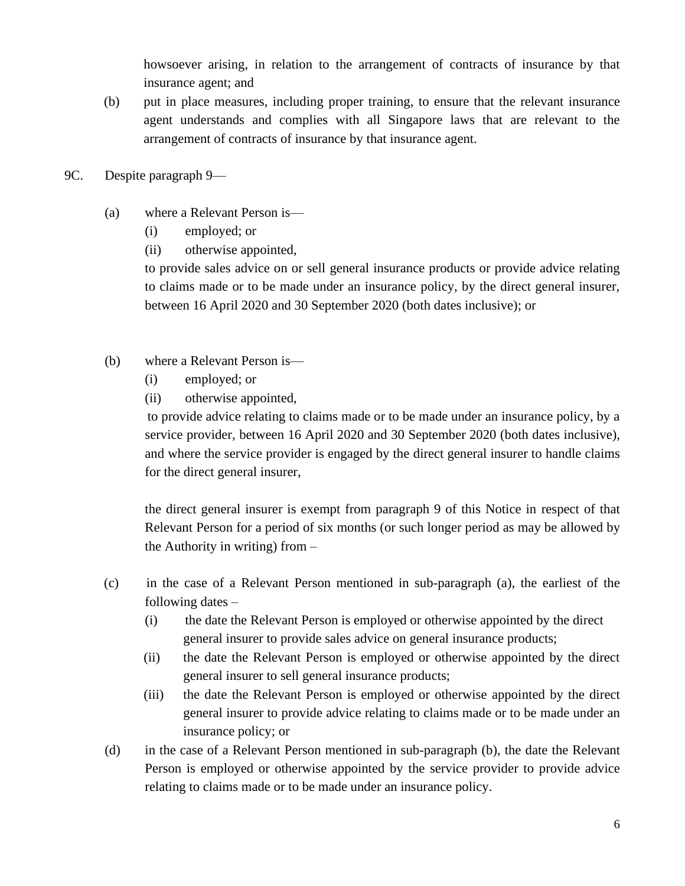howsoever arising, in relation to the arrangement of contracts of insurance by that insurance agent; and

- (b) put in place measures, including proper training, to ensure that the relevant insurance agent understands and complies with all Singapore laws that are relevant to the arrangement of contracts of insurance by that insurance agent.
- 9C. Despite paragraph 9—
	- (a) where a Relevant Person is—
		- (i) employed; or
		- (ii) otherwise appointed,

to provide sales advice on or sell general insurance products or provide advice relating to claims made or to be made under an insurance policy, by the direct general insurer, between 16 April 2020 and 30 September 2020 (both dates inclusive); or

- (b) where a Relevant Person is—
	- (i) employed; or
	- (ii) otherwise appointed,

to provide advice relating to claims made or to be made under an insurance policy, by a service provider, between 16 April 2020 and 30 September 2020 (both dates inclusive), and where the service provider is engaged by the direct general insurer to handle claims for the direct general insurer,

the direct general insurer is exempt from paragraph 9 of this Notice in respect of that Relevant Person for a period of six months (or such longer period as may be allowed by the Authority in writing) from –

- (c) in the case of a Relevant Person mentioned in sub-paragraph (a), the earliest of the following dates –
	- (i) the date the Relevant Person is employed or otherwise appointed by the direct general insurer to provide sales advice on general insurance products;
	- (ii) the date the Relevant Person is employed or otherwise appointed by the direct general insurer to sell general insurance products;
	- (iii) the date the Relevant Person is employed or otherwise appointed by the direct general insurer to provide advice relating to claims made or to be made under an insurance policy; or
- (d) in the case of a Relevant Person mentioned in sub-paragraph (b), the date the Relevant Person is employed or otherwise appointed by the service provider to provide advice relating to claims made or to be made under an insurance policy.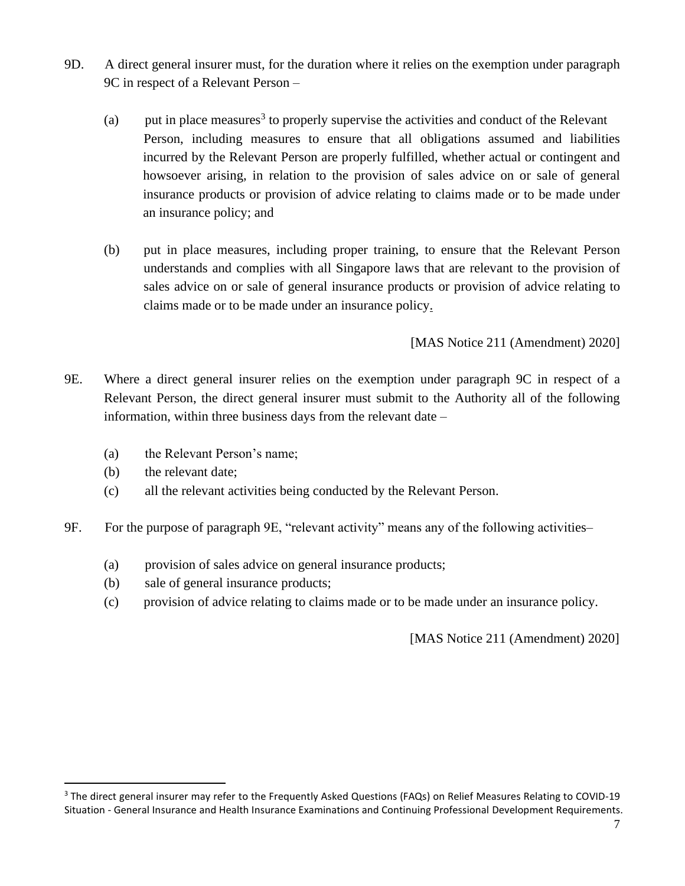- 9D. A direct general insurer must, for the duration where it relies on the exemption under paragraph 9C in respect of a Relevant Person –
	- (a) put in place measures<sup>3</sup> to properly supervise the activities and conduct of the Relevant Person, including measures to ensure that all obligations assumed and liabilities incurred by the Relevant Person are properly fulfilled, whether actual or contingent and howsoever arising, in relation to the provision of sales advice on or sale of general insurance products or provision of advice relating to claims made or to be made under an insurance policy; and
	- (b) put in place measures, including proper training, to ensure that the Relevant Person understands and complies with all Singapore laws that are relevant to the provision of sales advice on or sale of general insurance products or provision of advice relating to claims made or to be made under an insurance policy.

[MAS Notice 211 (Amendment) 2020]

- 9E. Where a direct general insurer relies on the exemption under paragraph 9C in respect of a Relevant Person, the direct general insurer must submit to the Authority all of the following information, within three business days from the relevant date –
	- (a) the Relevant Person's name;
	- (b) the relevant date;
	- (c) all the relevant activities being conducted by the Relevant Person.
- 9F. For the purpose of paragraph 9E, "relevant activity" means any of the following activities–
	- (a) provision of sales advice on general insurance products;
	- (b) sale of general insurance products;
	- (c) provision of advice relating to claims made or to be made under an insurance policy.

[MAS Notice 211 (Amendment) 2020]

<sup>&</sup>lt;sup>3</sup> The direct general insurer may refer to the Frequently Asked Questions (FAQs) on Relief Measures Relating to COVID-19 Situation - General Insurance and Health Insurance Examinations and Continuing Professional Development Requirements.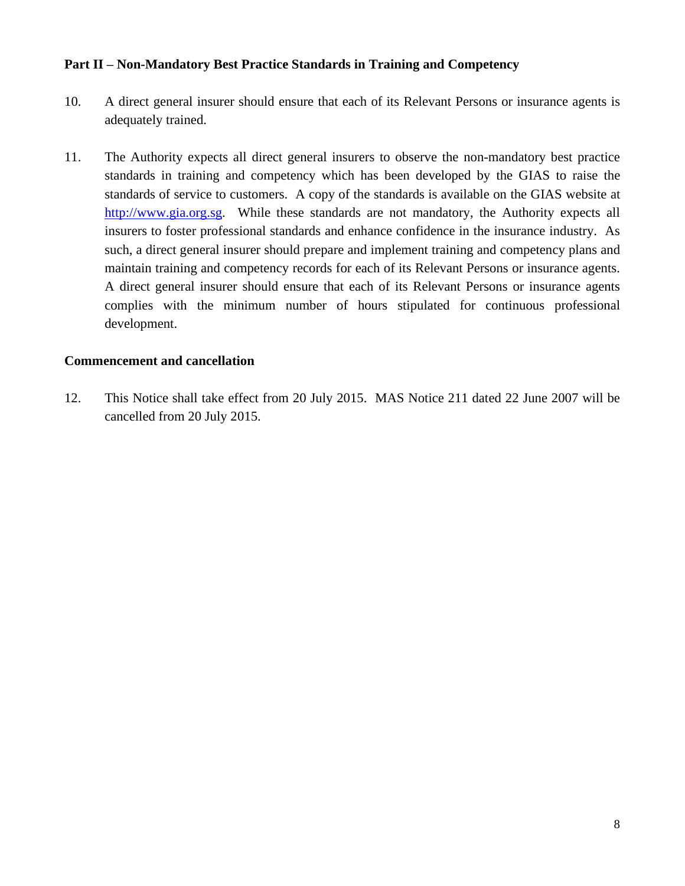## **Part II – Non-Mandatory Best Practice Standards in Training and Competency**

- 10. A direct general insurer should ensure that each of its Relevant Persons or insurance agents is adequately trained.
- 11. The Authority expects all direct general insurers to observe the non-mandatory best practice standards in training and competency which has been developed by the GIAS to raise the standards of service to customers. A copy of the standards is available on the GIAS website at [http://www.gia.org.sg.](http://www.gia.org.sg/) While these standards are not mandatory, the Authority expects all insurers to foster professional standards and enhance confidence in the insurance industry. As such, a direct general insurer should prepare and implement training and competency plans and maintain training and competency records for each of its Relevant Persons or insurance agents. A direct general insurer should ensure that each of its Relevant Persons or insurance agents complies with the minimum number of hours stipulated for continuous professional development.

## **Commencement and cancellation**

12. This Notice shall take effect from 20 July 2015. MAS Notice 211 dated 22 June 2007 will be cancelled from 20 July 2015.